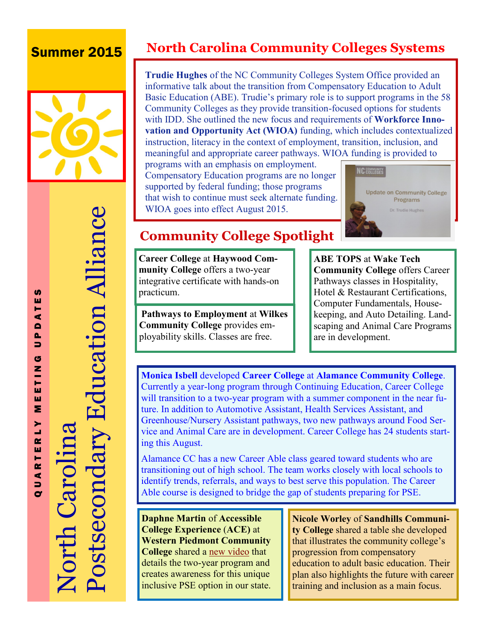## Summer 2015



# Postsecondary Education Alliance Postsecondary Education Alliance North Carolina **North Carolin**

Q U A R T E R L Y M E E T I N G U P D A T E S

 $\mathbf{r}$  $\alpha$ 

QUARTE

**S** ш ⋖  $\blacksquare$ Δ. ∍ G Z F ш ш Σ

## **North Carolina Community Colleges Systems**

**Trudie Hughes** of the NC Community Colleges System Office provided an informative talk about the transition from Compensatory Education to Adult Basic Education (ABE). Trudie's primary role is to support programs in the 58 Community Colleges as they provide transition-focused options for students with IDD. She outlined the new focus and requirements of **Workforce Innovation and Opportunity Act (WIOA)** funding, which includes contextualized instruction, literacy in the context of employment, transition, inclusion, and meaningful and appropriate career pathways. WIOA funding is provided to

programs with an emphasis on employment. Compensatory Education programs are no longer supported by federal funding; those programs that wish to continue must seek alternate funding. WIOA goes into effect August 2015.



## **Community College Spotlight**

**Career College** at **Haywood Community College** offers a two-year integrative certificate with hands-on practicum.

 **Pathways to Employment** at **Wilkes Community College** provides employability skills. Classes are free.

**[ABE TOPS](http://www.waketech.edu/programs-courses/non-credit/strengthen-basic-skills/ABE-TOPS)** at **Wake Tech Community College** offers Career Pathways classes in Hospitality, Hotel & Restaurant Certifications, Computer Fundamentals, Housekeeping, and Auto Detailing. Landscaping and Animal Care Programs are in development.

**Monica Isbell** developed **Career College** at **Alamance Community College**. Currently a year-long program through Continuing Education, Career College will transition to a two-year program with a summer component in the near future. In addition to Automotive Assistant, Health Services Assistant, and Greenhouse/Nursery Assistant pathways, two new pathways around Food Service and Animal Care are in development. Career College has 24 students starting this August.

Alamance CC has a new Career Able class geared toward students who are transitioning out of high school. The team works closely with local schools to identify trends, referrals, and ways to best serve this population. The Career Able course is designed to bridge the gap of students preparing for PSE.

**Daphne Martin** of **Accessible College Experience** (**ACE)** at **Western Piedmont Community College** shared a [new video](http://vimeopro.com/user14298328/western-piedmont-community-college-accessible-college-experience) that details the two-year program and creates awareness for this unique inclusive PSE option in our state.

**Nicole Worley** of **Sandhills Community College** shared a table she developed that illustrates the community college's progression from compensatory education to adult basic education. Their plan also highlights the future with career training and inclusion as a main focus.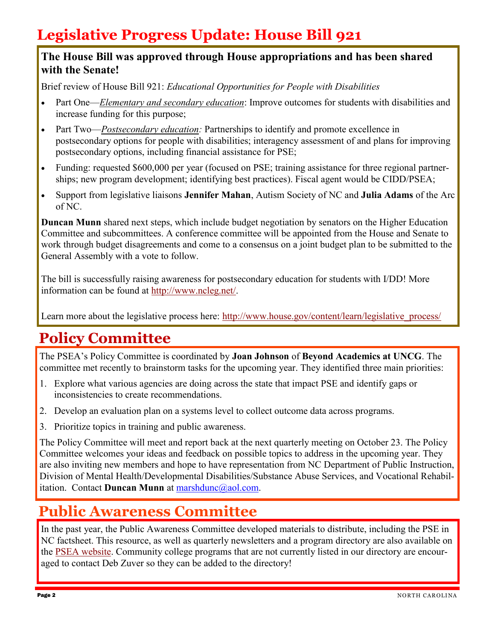## **Legislative Progress Update: House Bill 921**

#### **The House Bill was approved through House appropriations and has been shared with the Senate!**

Brief review of House Bill 921: *Educational Opportunities for People with Disabilities*

- Part One—*Elementary and secondary education*: Improve outcomes for students with disabilities and increase funding for this purpose;
- Part Two—*Postsecondary education:* Partnerships to identify and promote excellence in postsecondary options for people with disabilities; interagency assessment of and plans for improving postsecondary options, including financial assistance for PSE;
- Funding: requested \$600,000 per year (focused on PSE; training assistance for three regional partnerships; new program development; identifying best practices). Fiscal agent would be CIDD/PSEA;
- Support from legislative liaisons **Jennifer Mahan**, Autism Society of NC and **Julia Adams** of the Arc of NC.

**Duncan Munn** shared next steps, which include budget negotiation by senators on the Higher Education Committee and subcommittees. A conference committee will be appointed from the House and Senate to work through budget disagreements and come to a consensus on a joint budget plan to be submitted to the General Assembly with a vote to follow.

The bill is successfully raising awareness for postsecondary education for students with I/DD! More information can be found at [http://www.ncleg.net/.](http://www.ncleg.net/)

Learn more about the legislative process here: [http://www.house.gov/content/learn/legislative\\_process/](http://www.house.gov/content/learn/legislative_process/)

## **Policy Committee**

The PSEA's Policy Committee is coordinated by **Joan Johnson** of **Beyond Academics at UNCG**. The committee met recently to brainstorm tasks for the upcoming year. They identified three main priorities:

- 1. Explore what various agencies are doing across the state that impact PSE and identify gaps or inconsistencies to create recommendations.
- 2. Develop an evaluation plan on a systems level to collect outcome data across programs.
- 3. Prioritize topics in training and public awareness.

The Policy Committee will meet and report back at the next quarterly meeting on October 23. The Policy Committee welcomes your ideas and feedback on possible topics to address in the upcoming year. They are also inviting new members and hope to have representation from NC Department of Public Instruction, Division of Mental Health/Developmental Disabilities/Substance Abuse Services, and Vocational Rehabilitation. Contact **Duncan Munn** at marshdunc@aol.com.

## **Public Awareness Committee**

In the past year, the Public Awareness Committee developed materials to distribute, including the PSE in NC factsheet. This resource, as well as quarterly newsletters and a program directory are also available on the [PSEA website.](http://WWW.CIDD.UNC.EDU/PSEA) Community college programs that are not currently listed in our directory are encouraged to contact Deb Zuver so they can be added to the directory!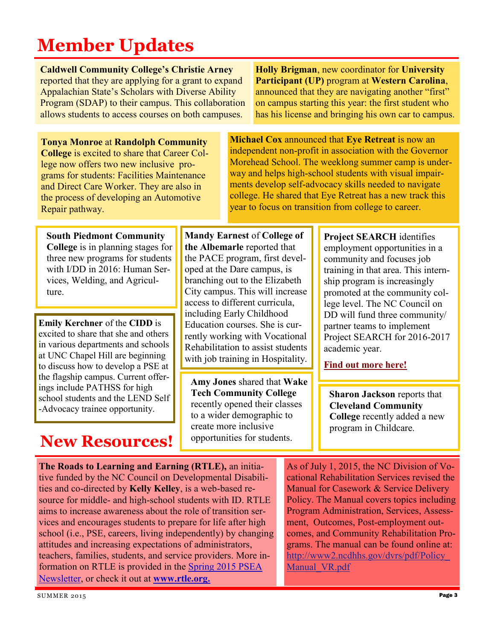# **Member Updates**

**Caldwell Community College's Christie Arney**  reported that they are applying for a grant to expand Appalachian State's Scholars with Diverse Ability Program (SDAP) to their campus. This collaboration allows students to access courses on both campuses.

**Tonya Monroe** at **Randolph Community College** is excited to share that Career College now offers two new inclusive programs for students: Facilities Maintenance and Direct Care Worker. They are also in the process of developing an Automotive Repair pathway.

**Holly Brigman**, new coordinator for **University Participant (UP)** program at **Western Carolina**, announced that they are navigating another "first" on campus starting this year: the first student who has his license and bringing his own car to campus.

**Michael Cox** announced that **Eye Retreat** is now an independent non-profit in association with the Governor Morehead School. The weeklong summer camp is underway and helps high-school students with visual impairments develop self-advocacy skills needed to navigate college. He shared that Eye Retreat has a new track this year to focus on transition from college to career.

**South Piedmont Community College** is in planning stages for three new programs for students with I/DD in 2016: Human Services, Welding, and Agriculture.

**Emily Kerchner** of the **CIDD** is excited to share that she and others in various departments and schools at UNC Chapel Hill are beginning to discuss how to develop a PSE at the flagship campus. Current offerings include PATHSS for high school students and the LEND Self -Advocacy trainee opportunity.

## **New Resources!**

**Mandy Earnest** of **College of the Albemarle** reported that the PACE program, first developed at the Dare campus, is branching out to the Elizabeth City campus. This will increase access to different curricula, including Early Childhood Education courses. She is currently working with Vocational Rehabilitation to assist students with job training in Hospitality.

**Amy Jones** shared that **Wake Tech Community College**  recently opened their classes to a wider demographic to create more inclusive opportunities for students.

**Project SEARCH** identifies employment opportunities in a community and focuses job training in that area. This internship program is increasingly promoted at the community college level. The NC Council on DD will fund three community/ partner teams to implement Project SEARCH for 2016-2017 academic year.

**[Find out more here!](http://nccdd.org/initiatives/current-initiatives.html)**

**Sharon Jackson** reports that **Cleveland Community College** recently added a new program in Childcare.

**The Roads to Learning and Earning (RTLE),** an initiative funded by the NC Council on Developmental Disabilities and co-directed by **Kelly Kelley**, is a web-based resource for middle- and high-school students with ID. RTLE aims to increase awareness about the role of transition services and encourages students to prepare for life after high school (i.e., PSE, careers, living independently) by changing attitudes and increasing expectations of administrators, teachers, families, students, and service providers. More information on RTLE is provided in the [Spring 2015 PSEA](http://cidd.unc.edu/docs/psea/newsletters/PSEAnewsletterSpring2015.pdf)  [Newsletter,](http://cidd.unc.edu/docs/psea/newsletters/PSEAnewsletterSpring2015.pdf) or check it out at **www.rtle.org.** 

As of July 1, 2015, the NC Division of Vocational Rehabilitation Services revised the Manual for Casework & Service Delivery Policy. The Manual covers topics including Program Administration, Services, Assessment, Outcomes, Post-employment outcomes, and Community Rehabilitation Programs. The manual can be found online at: [http://www2.ncdhhs.gov/dvrs/pdf/Policy\\_](http://www2.ncdhhs.gov/dvrs/pdf/Policy_Manual_VR.pdf) Manual VR.pdf